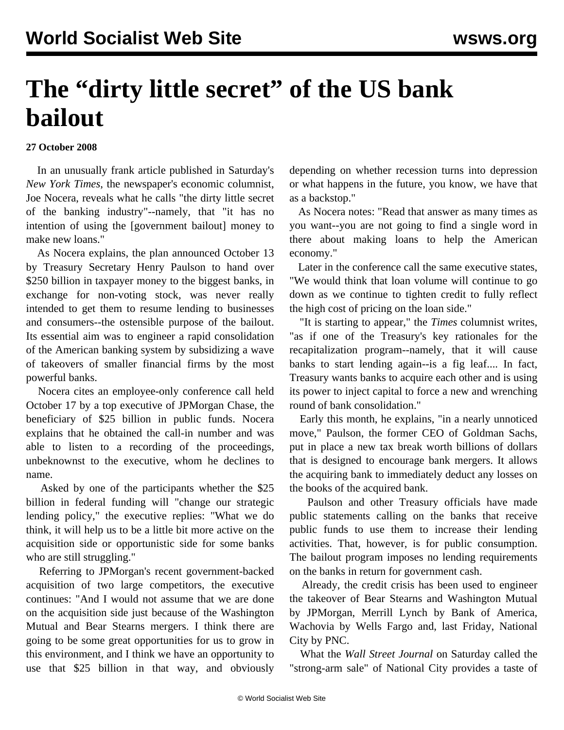## **The "dirty little secret" of the US bank bailout**

## **27 October 2008**

 In an unusually frank article published in Saturday's *New York Times*, the newspaper's economic columnist, Joe Nocera, reveals what he calls "the dirty little secret of the banking industry"--namely, that "it has no intention of using the [government bailout] money to make new loans."

 As Nocera explains, the plan announced October 13 by Treasury Secretary Henry Paulson to hand over \$250 billion in taxpayer money to the biggest banks, in exchange for non-voting stock, was never really intended to get them to resume lending to businesses and consumers--the ostensible purpose of the bailout. Its essential aim was to engineer a rapid consolidation of the American banking system by subsidizing a wave of takeovers of smaller financial firms by the most powerful banks.

 Nocera cites an employee-only conference call held October 17 by a top executive of JPMorgan Chase, the beneficiary of \$25 billion in public funds. Nocera explains that he obtained the call-in number and was able to listen to a recording of the proceedings, unbeknownst to the executive, whom he declines to name.

 Asked by one of the participants whether the \$25 billion in federal funding will "change our strategic lending policy," the executive replies: "What we do think, it will help us to be a little bit more active on the acquisition side or opportunistic side for some banks who are still struggling."

 Referring to JPMorgan's recent government-backed acquisition of two large competitors, the executive continues: "And I would not assume that we are done on the acquisition side just because of the Washington Mutual and Bear Stearns mergers. I think there are going to be some great opportunities for us to grow in this environment, and I think we have an opportunity to use that \$25 billion in that way, and obviously

depending on whether recession turns into depression or what happens in the future, you know, we have that as a backstop."

 As Nocera notes: "Read that answer as many times as you want--you are not going to find a single word in there about making loans to help the American economy."

 Later in the conference call the same executive states, "We would think that loan volume will continue to go down as we continue to tighten credit to fully reflect the high cost of pricing on the loan side."

 "It is starting to appear," the *Times* columnist writes, "as if one of the Treasury's key rationales for the recapitalization program--namely, that it will cause banks to start lending again--is a fig leaf.... In fact, Treasury wants banks to acquire each other and is using its power to inject capital to force a new and wrenching round of bank consolidation."

 Early this month, he explains, "in a nearly unnoticed move," Paulson, the former CEO of Goldman Sachs, put in place a new tax break worth billions of dollars that is designed to encourage bank mergers. It allows the acquiring bank to immediately deduct any losses on the books of the acquired bank.

 Paulson and other Treasury officials have made public statements calling on the banks that receive public funds to use them to increase their lending activities. That, however, is for public consumption. The bailout program imposes no lending requirements on the banks in return for government cash.

 Already, the credit crisis has been used to engineer the takeover of Bear Stearns and Washington Mutual by JPMorgan, Merrill Lynch by Bank of America, Wachovia by Wells Fargo and, last Friday, National City by PNC.

 What the *Wall Street Journal* on Saturday called the "strong-arm sale" of National City provides a taste of